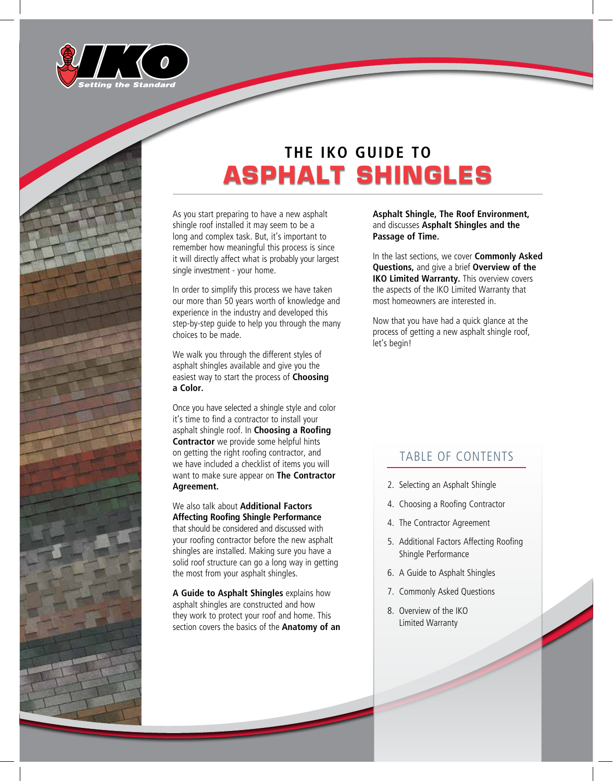



As you start preparing to have a new asphalt shingle roof installed it may seem to be a long and complex task. But, it's important to remember how meaningful this process is since it will directly affect what is probably your largest single investment - your home.

In order to simplify this process we have taken our more than 50 years worth of knowledge and experience in the industry and developed this step-by-step guide to help you through the many choices to be made.

We walk you through the different styles of asphalt shingles available and give you the easiest way to start the process of **Choosing a Color.**

Once you have selected a shingle style and color it's time to find a contractor to install your asphalt shingle roof. In **Choosing a Roofing Contractor** we provide some helpful hints on getting the right roofing contractor, and we have included a checklist of items you will want to make sure appear on **The Contractor Agreement.**

#### We also talk about **Additional Factors Affecting Roofing Shingle Performance**

that should be considered and discussed with your roofing contractor before the new asphalt shingles are installed. Making sure you have a solid roof structure can go a long way in getting the most from your asphalt shingles.

**A Guide to Asphalt Shingles** explains how asphalt shingles are constructed and how they work to protect your roof and home. This section covers the basics of the **Anatomy of an**  **Asphalt Shingle, The Roof Environment,** and discusses **Asphalt Shingles and the Passage of Time.**

In the last sections, we cover **Commonly Asked Questions,** and give a brief **Overview of the IKO Limited Warranty.** This overview covers the aspects of the IKO Limited Warranty that most homeowners are interested in.

Now that you have had a quick glance at the process of getting a new asphalt shingle roof, let's begin!

# TABLE OF CONTENTS

- 2. Selecting an Asphalt Shingle
- 4. Choosing a Roofing Contractor
- 4. The Contractor Agreement
- 5. Additional Factors Affecting Roofing Shingle Performance
- 6. A Guide to Asphalt Shingles
- 7. Commonly Asked Questions
- 8. Overview of the IKO Limited Warranty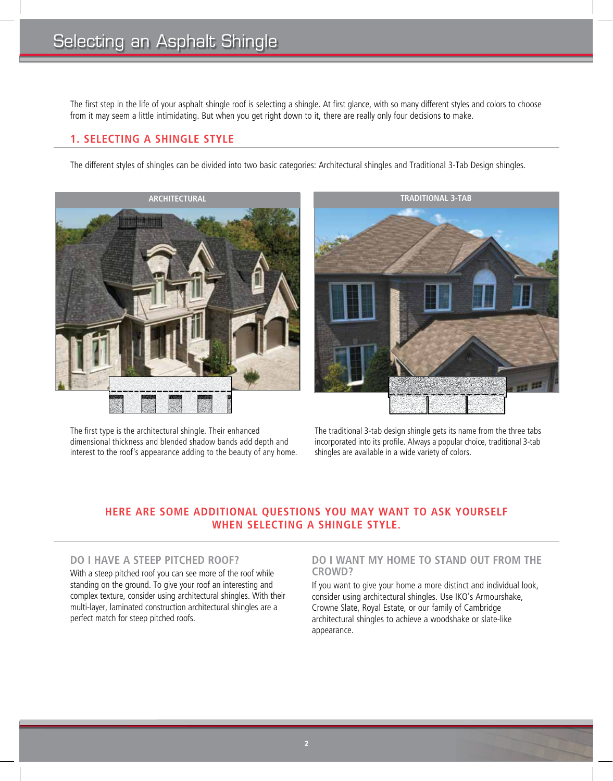The first step in the life of your asphalt shingle roof is selecting a shingle. At first glance, with so many different styles and colors to choose from it may seem a little intimidating. But when you get right down to it, there are really only four decisions to make.

# **1. SELECTING A SHINGLE STYLE**

The different styles of shingles can be divided into two basic categories: Architectural shingles and Traditional 3-Tab Design shingles.



The first type is the architectural shingle. Their enhanced dimensional thickness and blended shadow bands add depth and interest to the roof's appearance adding to the beauty of any home.



The traditional 3-tab design shingle gets its name from the three tabs incorporated into its profile. Always a popular choice, traditional 3-tab shingles are available in a wide variety of colors.

# **HERE ARE SOME ADDITIONAL QUESTIONS YOU MAY WANT TO ASK YOURSELF WHEN SELECTING A SHINGLE STYLE.**

# **DO I HAVE A STEEP PITCHED ROOF?**

With a steep pitched roof you can see more of the roof while standing on the ground. To give your roof an interesting and complex texture, consider using architectural shingles. With their multi-layer, laminated construction architectural shingles are a perfect match for steep pitched roofs.

#### **DO I WANT MY HOME TO STAND OUT FROM THE CROWD?**

If you want to give your home a more distinct and individual look, consider using architectural shingles. Use IKO's Armourshake, Crowne Slate, Royal Estate, or our family of Cambridge architectural shingles to achieve a woodshake or slate-like appearance.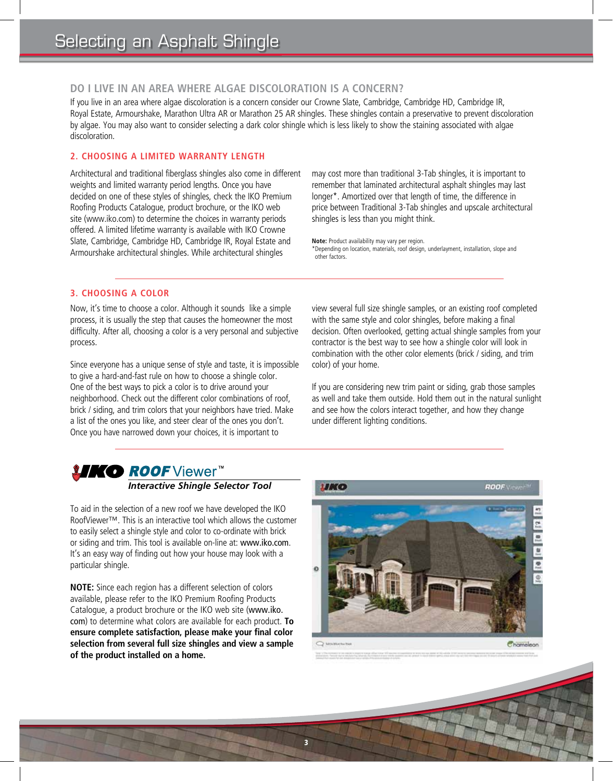# **DO I LIVE IN AN AREA WHERE ALGAE DISCOLORATION IS A CONCERN?**

If you live in an area where algae discoloration is a concern consider our Crowne Slate, Cambridge, Cambridge HD, Cambridge IR, Royal Estate, Armourshake, Marathon Ultra AR or Marathon 25 AR shingles. These shingles contain a preservative to prevent discoloration by algae. You may also want to consider selecting a dark color shingle which is less likely to show the staining associated with algae discoloration.

3

### **2. CHOOSING A LIMITED WARRANTY LENGTH**

Architectural and traditional fiberglass shingles also come in different weights and limited warranty period lengths. Once you have decided on one of these styles of shingles, check the IKO Premium Roofing Products Catalogue, product brochure, or the IKO web site (www.iko.com) to determine the choices in warranty periods offered. A limited lifetime warranty is available with IKO Crowne Slate, Cambridge, Cambridge HD, Cambridge IR, Royal Estate and Armourshake architectural shingles. While architectural shingles

may cost more than traditional 3-Tab shingles, it is important to remember that laminated architectural asphalt shingles may last longer\*. Amortized over that length of time, the difference in price between Traditional 3-Tab shingles and upscale architectural shingles is less than you might think.

**Note:** Product availability may vary per region. \*Depending on location, materials, roof design, underlayment, installation, slope and other factors.

# **3. CHOOSING A COLOR**

Now, it's time to choose a color. Although it sounds like a simple process, it is usually the step that causes the homeowner the most difficulty. After all, choosing a color is a very personal and subjective process.

Since everyone has a unique sense of style and taste, it is impossible to give a hard-and-fast rule on how to choose a shingle color. One of the best ways to pick a color is to drive around your neighborhood. Check out the different color combinations of roof, brick / siding, and trim colors that your neighbors have tried. Make a list of the ones you like, and steer clear of the ones you don't. Once you have narrowed down your choices, it is important to

view several full size shingle samples, or an existing roof completed with the same style and color shingles, before making a final decision. Often overlooked, getting actual shingle samples from your contractor is the best way to see how a shingle color will look in combination with the other color elements (brick / siding, and trim color) of your home.

If you are considering new trim paint or siding, grab those samples as well and take them outside. Hold them out in the natural sunlight and see how the colors interact together, and how they change under different lighting conditions.

# *INKO ROOF* Viewer<sup>™</sup><br>Interactive Shingle Selector Tool

To aid in the selection of a new roof we have developed the IKO RoofViewer™. This is an interactive tool which allows the customer to easily select a shingle style and color to co-ordinate with brick or siding and trim. This tool is available on-line at: www.iko.com. It's an easy way of finding out how your house may look with a particular shingle.

**NOTE:** Since each region has a different selection of colors available, please refer to the IKO Premium Roofing Products Catalogue, a product brochure or the IKO web site (www.iko. com) to determine what colors are available for each product. **To ensure complete satisfaction, please make your final color selection from several full size shingles and view a sample of the product installed on a home.**

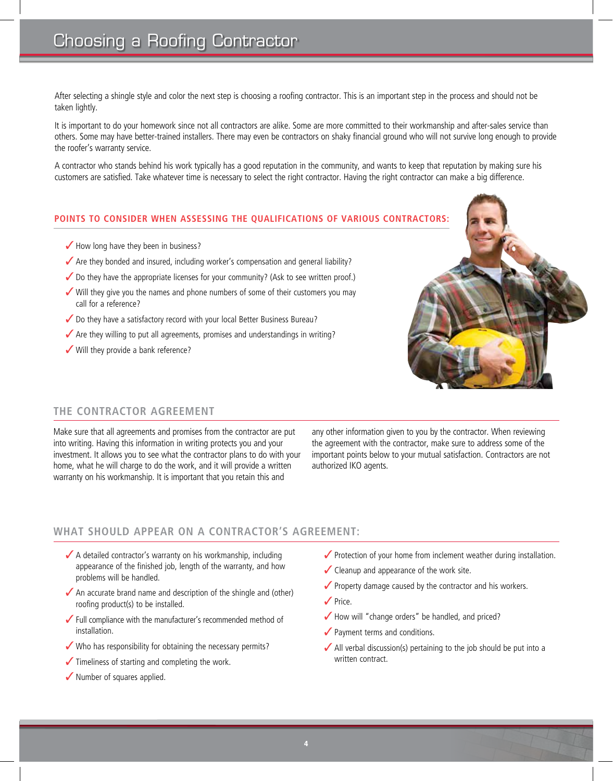After selecting a shingle style and color the next step is choosing a roofing contractor. This is an important step in the process and should not be taken lightly.

It is important to do your homework since not all contractors are alike. Some are more committed to their workmanship and after-sales service than others. Some may have better-trained installers. There may even be contractors on shaky financial ground who will not survive long enough to provide the roofer's warranty service.

A contractor who stands behind his work typically has a good reputation in the community, and wants to keep that reputation by making sure his customers are satisfied. Take whatever time is necessary to select the right contractor. Having the right contractor can make a big difference.

#### **POINTS TO CONSIDER WHEN ASSESSING THE QUALIFICATIONS OF VARIOUS CONTRACTORS:**

- $\blacktriangleright$  How long have they been in business?
- $\blacktriangledown$  Are they bonded and insured, including worker's compensation and general liability?
- $\checkmark$  Do they have the appropriate licenses for your community? (Ask to see written proof.)
- $\checkmark$  Will they give you the names and phone numbers of some of their customers you may call for a reference?
- $\checkmark$  Do they have a satisfactory record with your local Better Business Bureau?
- $\checkmark$  Are they willing to put all agreements, promises and understandings in writing?
- $\checkmark$  Will they provide a bank reference?



# **THE CONTRACTOR AGREEMENT**

Make sure that all agreements and promises from the contractor are put into writing. Having this information in writing protects you and your investment. It allows you to see what the contractor plans to do with your home, what he will charge to do the work, and it will provide a written warranty on his workmanship. It is important that you retain this and

any other information given to you by the contractor. When reviewing the agreement with the contractor, make sure to address some of the important points below to your mutual satisfaction. Contractors are not authorized IKO agents.

# **WHAT SHOULD APPEAR ON A CONTRACTOR'S AGREEMENT:**

- $\blacktriangleright$  A detailed contractor's warranty on his workmanship, including appearance of the finished job, length of the warranty, and how problems will be handled.
- $\sqrt{\phantom{a}}$  An accurate brand name and description of the shingle and (other) roofing product(s) to be installed.
- $\checkmark$  Full compliance with the manufacturer's recommended method of installation.
- $\checkmark$  Who has responsibility for obtaining the necessary permits?
- $\checkmark$  Timeliness of starting and completing the work.
- $\checkmark$  Number of squares applied.
- $\checkmark$  Protection of your home from inclement weather during installation.
- $\checkmark$  Cleanup and appearance of the work site.
- $\sqrt{\ }$  Property damage caused by the contractor and his workers.
- $\sqrt{P}$ rice.
- $\blacktriangleright$  How will "change orders" be handled, and priced?
- $\sqrt{\ }$  Payment terms and conditions.
- $\blacktriangleright$  All verbal discussion(s) pertaining to the job should be put into a written contract.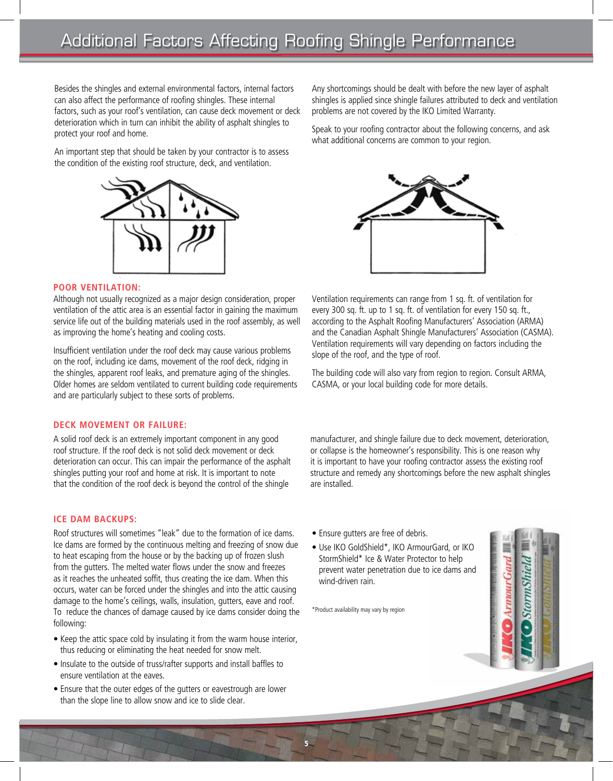Besides the shingles and external environmental factors, internal factors can also affect the performance of roofing shingles. These internal factors, such as your roof's ventilation, can cause deck movement or deck deterioration which in turn can inhibit the ability of asphalt shingles to protect your roof and home.

An important step that should be taken by your contractor is to assess the condition of the existing roof structure, deck, and ventilation.



#### **POOR VENTILATION:**

Although not usually recognized as a major design consideration, proper ventilation of the attic area is an essential factor in gaining the maximum service life out of the building materials used in the roof assembly, as well as improving the home's heating and cooling costs.

Insufficient ventilation under the roof deck may cause various problems on the roof, including ice dams, movement of the roof deck, ridging in the shingles, apparent roof leaks, and premature aging of the shingles. Older homes are seldom ventilated to current building code requirements and are particularly subject to these sorts of problems.

#### **DECK MOVEMENT OR FAILURE:**

A solid roof deck is an extremely important component in any good roof structure. If the roof deck is not solid deck movement or deck deterioration can occur. This can impair the performance of the asphalt shingles putting your roof and home at risk. It is important to note that the condition of the roof deck is beyond the control of the shingle

#### **ICE DAM BACKUPS:**

Roof structures will sometimes "leak" due to the formation of ice dams. Ice dams are formed by the continuous melting and freezing of snow due to heat escaping from the house or by the backing up of frozen slush from the gutters. The melted water flows under the snow and freezes as it reaches the unheated soffit, thus creating the ice dam. When this occurs, water can be forced under the shingles and into the attic causing damage to the home's ceilings, walls, insulation, gutters, eave and roof. To reduce the chances of damage caused by ice dams consider doing the following:

- Keep the attic space cold by insulating it from the warm house interior, thus reducing or eliminating the heat needed for snow melt.
- Insulate to the outside of truss/rafter supports and install baffles to ensure ventilation at the eaves.
- Ensure that the outer edges of the gutters or eavestrough are lower than the slope line to allow snow and ice to slide clear.

Any shortcomings should be dealt with before the new layer of asphalt shingles is applied since shingle failures attributed to deck and ventilation problems are not covered by the IKO Limited Warranty.

Speak to your roofing contractor about the following concerns, and ask what additional concerns are common to your region.



Ventilation requirements can range from 1 sq. ft. of ventilation for every 300 sq. ft. up to 1 sq. ft. of ventilation for every 150 sq. ft., according to the Asphalt Roofing Manufacturers' Association (ARMA) and the Canadian Asphalt Shingle Manufacturers' Association (CASMA). Ventilation requirements will vary depending on factors including the slope of the roof, and the type of roof.

The building code will also vary from region to region. Consult ARMA, CASMA, or your local building code for more details.

manufacturer, and shingle failure due to deck movement, deterioration, or collapse is the homeowner's responsibility. This is one reason why it is important to have your roofing contractor assess the existing roof structure and remedy any shortcomings before the new asphalt shingles are installed.

StormShiel

- Ensure gutters are free of debris.
- Use IKO GoldShield\*, IKO ArmourGard, or IKO StormShield\* Ice & Water Protector to help prevent water penetration due to ice dams and wind-driven rain.

\*Product availability may vary by region

5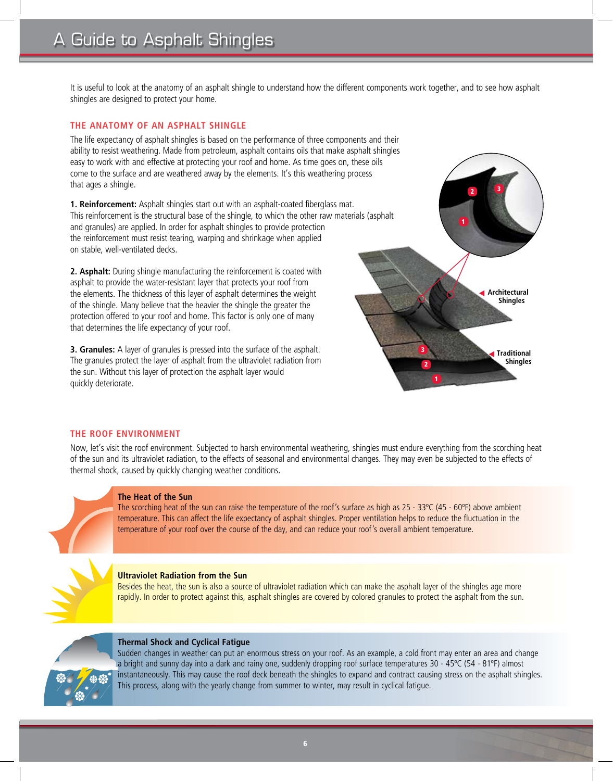It is useful to look at the anatomy of an asphalt shingle to understand how the different components work together, and to see how asphalt shingles are designed to protect your home.

#### **THE ANATOMY OF AN ASPHALT SHINGLE**

The life expectancy of asphalt shingles is based on the performance of three components and their ability to resist weathering. Made from petroleum, asphalt contains oils that make asphalt shingles easy to work with and effective at protecting your roof and home. As time goes on, these oils come to the surface and are weathered away by the elements. It's this weathering process that ages a shingle.

**1. Reinforcement:** Asphalt shingles start out with an asphalt-coated fiberglass mat. This reinforcement is the structural base of the shingle, to which the other raw materials (asphalt and granules) are applied. In order for asphalt shingles to provide protection the reinforcement must resist tearing, warping and shrinkage when applied on stable, well-ventilated decks.

**2. Asphalt:** During shingle manufacturing the reinforcement is coated with asphalt to provide the water-resistant layer that protects your roof from the elements. The thickness of this layer of asphalt determines the weight of the shingle. Many believe that the heavier the shingle the greater the protection offered to your roof and home. This factor is only one of many that determines the life expectancy of your roof.

**3. Granules:** A layer of granules is pressed into the surface of the asphalt. The granules protect the layer of asphalt from the ultraviolet radiation from the sun. Without this layer of protection the asphalt layer would quickly deteriorate. <sup>1</sup>



#### **THE ROOF ENVIRONMENT**

Now, let's visit the roof environment. Subjected to harsh environmental weathering, shingles must endure everything from the scorching heat of the sun and its ultraviolet radiation, to the effects of seasonal and environmental changes. They may even be subjected to the effects of thermal shock, caused by quickly changing weather conditions.



#### **The Heat of the Sun**

The scorching heat of the sun can raise the temperature of the roof's surface as high as  $25 - 33^{\circ}C$  (45 - 60°F) above ambient temperature. This can affect the life expectancy of asphalt shingles. Proper ventilation helps to reduce the fluctuation in the temperature of your roof over the course of the day, and can reduce your roof's overall ambient temperature.



#### **Ultraviolet Radiation from the Sun**

Besides the heat, the sun is also a source of ultraviolet radiation which can make the asphalt layer of the shingles age more rapidly. In order to protect against this, asphalt shingles are covered by colored granules to protect the asphalt from the sun.



#### **Thermal Shock and Cyclical Fatigue**

Sudden changes in weather can put an enormous stress on your roof. As an example, a cold front may enter an area and change a bright and sunny day into a dark and rainy one, suddenly dropping roof surface temperatures 30 - 45ºC (54 - 81ºF) almost instantaneously. This may cause the roof deck beneath the shingles to expand and contract causing stress on the asphalt shingles. This process, along with the yearly change from summer to winter, may result in cyclical fatigue.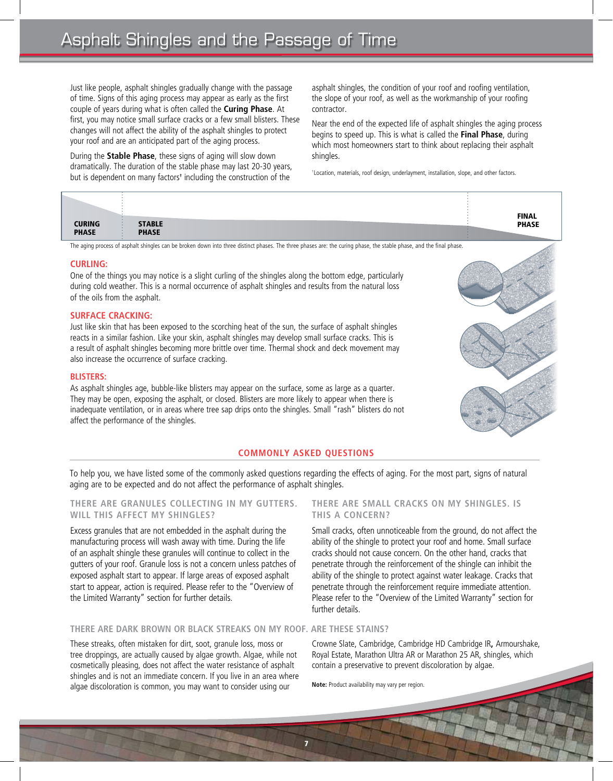Just like people, asphalt shingles gradually change with the passage of time. Signs of this aging process may appear as early as the first couple of years during what is often called the **Curing Phase**. At first, you may notice small surface cracks or a few small blisters. These changes will not affect the ability of the asphalt shingles to protect your roof and are an anticipated part of the aging process.

During the **Stable Phase**, these signs of aging will slow down dramatically. The duration of the stable phase may last 20-30 years, but is dependent on many factors<sup>†</sup> including the construction of the asphalt shingles, the condition of your roof and roofing ventilation, the slope of your roof, as well as the workmanship of your roofing contractor.

Near the end of the expected life of asphalt shingles the aging process begins to speed up. This is what is called the **Final Phase**, during which most homeowners start to think about replacing their asphalt shingles.

† Location, materials, roof design, underlayment, installation, slope, and other factors.

|                                                                                                                                                                     |               |  | <b>FINAL</b> |
|---------------------------------------------------------------------------------------------------------------------------------------------------------------------|---------------|--|--------------|
|                                                                                                                                                                     |               |  |              |
| <b>CURING</b>                                                                                                                                                       | <b>STABLE</b> |  | <b>PHASE</b> |
| <b>PHASE</b>                                                                                                                                                        | <b>PHASE</b>  |  |              |
|                                                                                                                                                                     |               |  |              |
| The aging process of asphalt shingles can be broken down into three distinct phases. The three phases are: the curing phase, the stable phase, and the final phase. |               |  |              |

#### **CURLING:**

One of the things you may notice is a slight curling of the shingles along the bottom edge, particularly during cold weather. This is a normal occurrence of asphalt shingles and results from the natural loss of the oils from the asphalt.

#### **SURFACE CRACKING:**

Just like skin that has been exposed to the scorching heat of the sun, the surface of asphalt shingles reacts in a similar fashion. Like your skin, asphalt shingles may develop small surface cracks. This is a result of asphalt shingles becoming more brittle over time. Thermal shock and deck movement may also increase the occurrence of surface cracking.

#### **BLISTERS:**

As asphalt shingles age, bubble-like blisters may appear on the surface, some as large as a quarter. They may be open, exposing the asphalt, or closed. Blisters are more likely to appear when there is inadequate ventilation, or in areas where tree sap drips onto the shingles. Small "rash" blisters do not affect the performance of the shingles.

#### **COMMONLY ASKED QUESTIONS**

7

To help you, we have listed some of the commonly asked questions regarding the effects of aging. For the most part, signs of natural aging are to be expected and do not affect the performance of asphalt shingles.

#### **THERE ARE GRANULES COLLECTING IN MY GUTTERS. WILL THIS AFFECT MY SHINGLES?**

Excess granules that are not embedded in the asphalt during the manufacturing process will wash away with time. During the life of an asphalt shingle these granules will continue to collect in the gutters of your roof. Granule loss is not a concern unless patches of exposed asphalt start to appear. If large areas of exposed asphalt start to appear, action is required. Please refer to the "Overview of the Limited Warranty" section for further details.

#### **THERE ARE SMALL CRACKS ON MY SHINGLES. IS THIS A CONCERN?**

Small cracks, often unnoticeable from the ground, do not affect the ability of the shingle to protect your roof and home. Small surface cracks should not cause concern. On the other hand, cracks that penetrate through the reinforcement of the shingle can inhibit the ability of the shingle to protect against water leakage. Cracks that penetrate through the reinforcement require immediate attention. Please refer to the "Overview of the Limited Warranty" section for further details.

#### **THERE ARE DARK BROWN OR BLACK STREAKS ON MY ROOF. ARE THESE STAINS?**

These streaks, often mistaken for dirt, soot, granule loss, moss or tree droppings, are actually caused by algae growth. Algae, while not cosmetically pleasing, does not affect the water resistance of asphalt shingles and is not an immediate concern. If you live in an area where algae discoloration is common, you may want to consider using our

#### Crowne Slate, Cambridge, Cambridge HD Cambridge IR**,** Armourshake, Royal Estate, Marathon Ultra AR or Marathon 25 AR, shingles, which contain a preservative to prevent discoloration by algae.

**Note:** Product availability may vary per region.